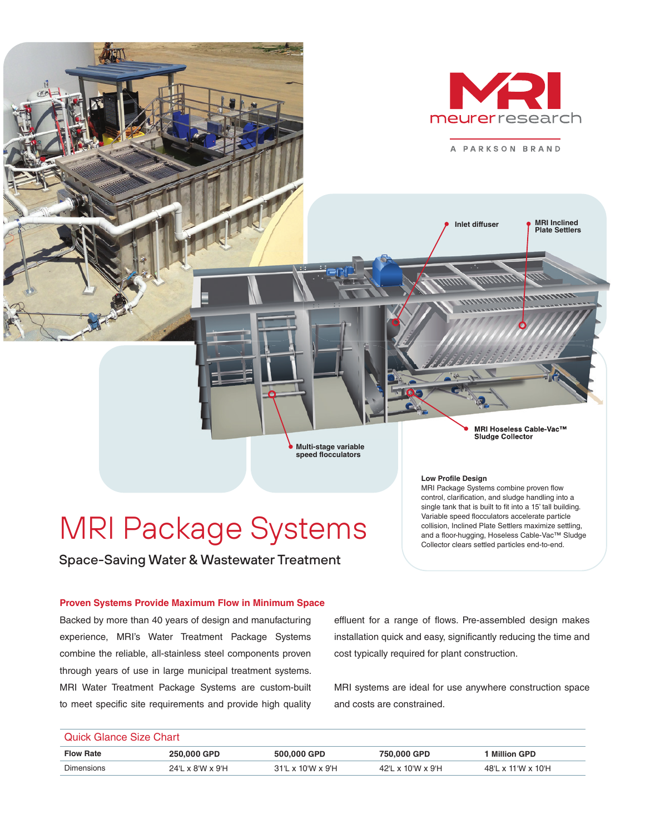

# MRI Package Systems

Space-Saving Water & Wastewater Treatment

#### **Low Profile Design**

MRI Package Systems combine proven flow control, clarification, and sludge handling into a single tank that is built to fit into a 15' tall building. Variable speed flocculators accelerate particle collision, Inclined Plate Settlers maximize settling, and a floor-hugging, Hoseless Cable-Vac™ Sludge Collector clears settled particles end-to-end.

#### **Proven Systems Provide Maximum Flow in Minimum Space**

Backed by more than 40 years of design and manufacturing experience, MRI's Water Treatment Package Systems combine the reliable, all-stainless steel components proven through years of use in large municipal treatment systems. MRI Water Treatment Package Systems are custom-built to meet specific site requirements and provide high quality

effluent for a range of flows. Pre-assembled design makes installation quick and easy, significantly reducing the time and cost typically required for plant construction.

MRI systems are ideal for use anywhere construction space and costs are constrained.

### Quick Glance Size Chart

| <b>Flow Rate</b>  | 250.000 GPD             | 500.000 GPD                                     | 750.000 GPD                | <b>Million GPD</b> |
|-------------------|-------------------------|-------------------------------------------------|----------------------------|--------------------|
| <b>Dimensions</b> | $24''$ x $8''$ y $9'$ H | $31^{\circ}$ L x $10^{\circ}$ W x $9^{\circ}$ H | $\times$ 10'W $\times$ 9'H | 48'L x 11'W x 10'H |